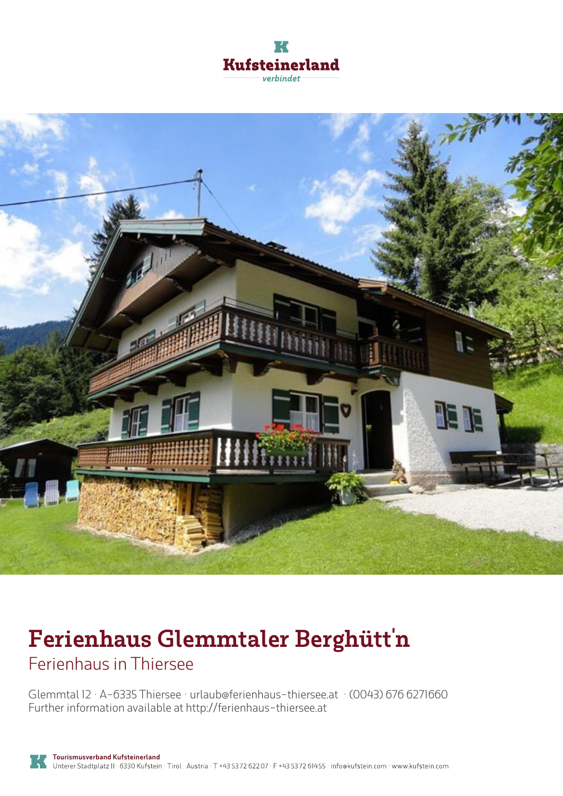



# **Ferienhaus Glemmtaler Berghütt'n**

Ferienhaus in Thiersee

Glemmtal 12 · A-6335 Thiersee · **urlaub@ferienhaus-thiersee.at** · **(0043) 676 6271660** Further information available at **http://ferienhaus-thiersee.at**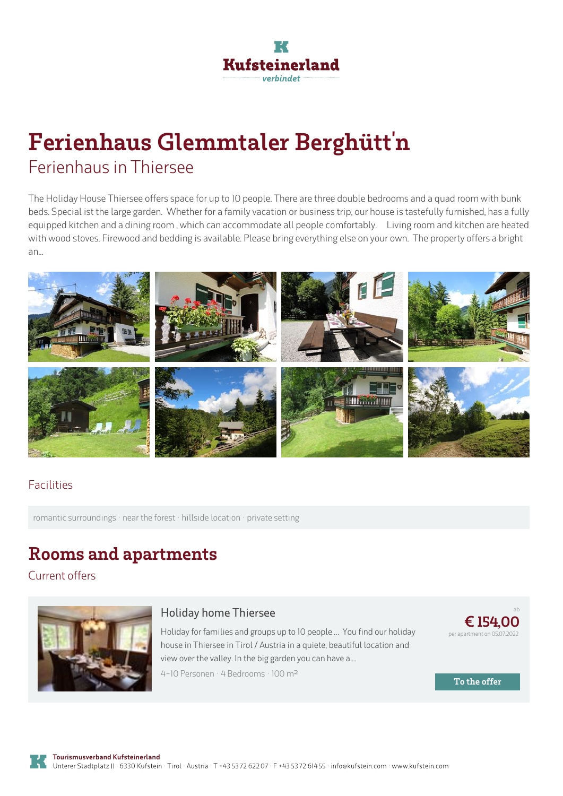

# **Ferienhaus Glemmtaler Berghütt'n** Ferienhaus in Thiersee

The Holiday House Thiersee offers space for up to 10 people. There are three double bedrooms and a quad room with bunk beds. Special ist the large garden. Whether for <sup>a</sup> family vacation or business trip, our house is tastefully furnished, has <sup>a</sup> fully equipped kitchen and a dining room, which can accommodate all people comfortably. Living room and kitchen are heated with wood stoves. Firewood and bedding is available. Please bring everything else on your own. The property offers a bright an...



### Facilities

romantic surroundings · near the forest · hillside location · private setting

### **Rooms and apartments**

Current offers



#### **Holiday home Thiersee**

Holiday for families and groups up to 10 people … You find our holiday house in Thiersee in Tirol / Austria in <sup>a</sup> quiete, beautiful location and view over the valley. In the big garden you can have <sup>a</sup> ... 4-10 Personen · 4 Bedrooms · 100 <sup>m</sup><sup>²</sup>



**To the offer**